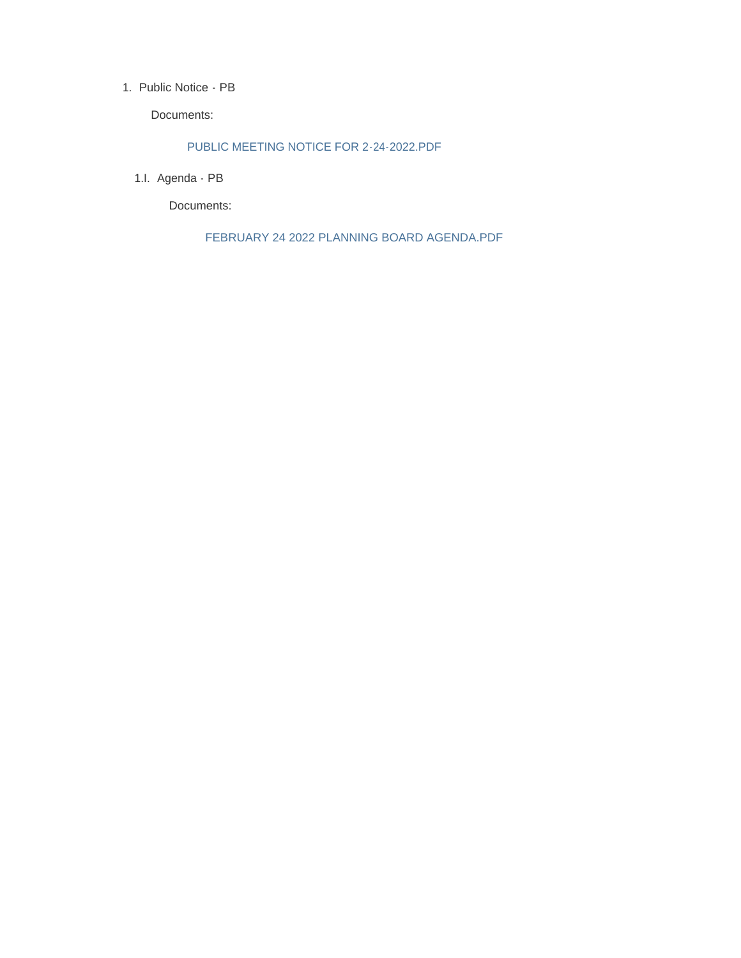#### 1. Public Notice - PB

Documents:

#### PUBLIC MEETING NOTICE FOR 2-24-2022.PDF

1.I. Agenda - PB

Documents:

FEBRUARY 24 2022 PLANNING BOARD AGENDA.PDF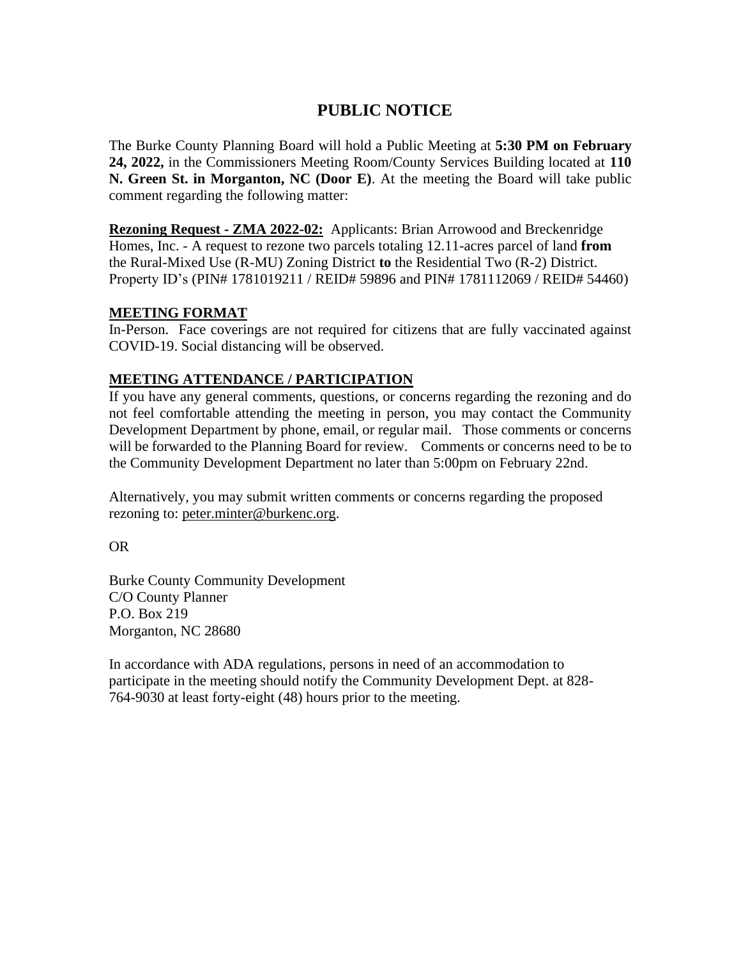## **PUBLIC NOTICE**

The Burke County Planning Board will hold a Public Meeting at **5:30 PM on February 24, 2022,** in the Commissioners Meeting Room/County Services Building located at **110 N. Green St. in Morganton, NC (Door E)**. At the meeting the Board will take public comment regarding the following matter:

**Rezoning Request - ZMA 2022-02:** Applicants: Brian Arrowood and Breckenridge Homes, Inc. - A request to rezone two parcels totaling 12.11-acres parcel of land **from** the Rural-Mixed Use (R-MU) Zoning District **to** the Residential Two (R-2) District. Property ID's (PIN# 1781019211 / REID# 59896 and PIN# 1781112069 / REID# 54460)

### **MEETING FORMAT**

In-Person. Face coverings are not required for citizens that are fully vaccinated against COVID-19. Social distancing will be observed.

### **MEETING ATTENDANCE / PARTICIPATION**

If you have any general comments, questions, or concerns regarding the rezoning and do not feel comfortable attending the meeting in person, you may contact the Community Development Department by phone, email, or regular mail. Those comments or concerns will be forwarded to the Planning Board for review. Comments or concerns need to be to the Community Development Department no later than 5:00pm on February 22nd.

Alternatively, you may submit written comments or concerns regarding the proposed rezoning to: [peter.minter@burkenc.org.](mailto:peter.minter@burkenc.org)

OR

Burke County Community Development C/O County Planner P.O. Box 219 Morganton, NC 28680

In accordance with ADA regulations, persons in need of an accommodation to participate in the meeting should notify the Community Development Dept. at 828- 764-9030 at least forty-eight (48) hours prior to the meeting.